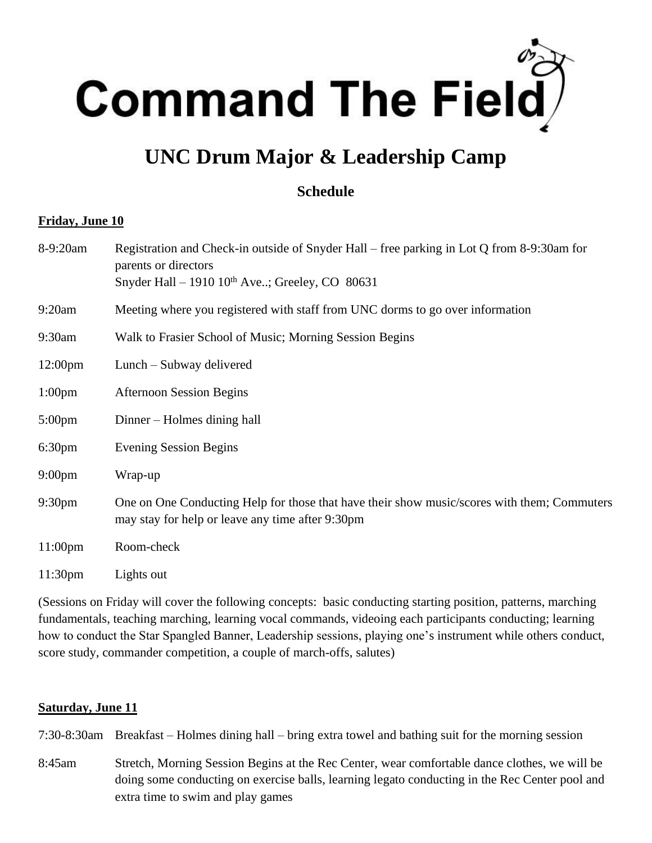

# **UNC Drum Major & Leadership Camp**

## **Schedule**

#### **Friday, June 10**

| 8-9:20am            | Registration and Check-in outside of Snyder Hall – free parking in Lot Q from 8-9:30am for<br>parents or directors<br>Snyder Hall – 1910 $10^{th}$ Ave; Greeley, CO 80631 |
|---------------------|---------------------------------------------------------------------------------------------------------------------------------------------------------------------------|
| 9:20am              | Meeting where you registered with staff from UNC dorms to go over information                                                                                             |
| 9:30am              | Walk to Frasier School of Music; Morning Session Begins                                                                                                                   |
| $12:00 \text{pm}$   | Lunch – Subway delivered                                                                                                                                                  |
| 1:00 <sub>pm</sub>  | <b>Afternoon Session Begins</b>                                                                                                                                           |
| $5:00 \text{pm}$    | Dinner – Holmes dining hall                                                                                                                                               |
| 6:30 <sub>pm</sub>  | <b>Evening Session Begins</b>                                                                                                                                             |
| $9:00 \text{pm}$    | Wrap-up                                                                                                                                                                   |
| 9:30 <sub>pm</sub>  | One on One Conducting Help for those that have their show music/scores with them; Commuters<br>may stay for help or leave any time after 9:30pm                           |
| $11:00 \text{pm}$   | Room-check                                                                                                                                                                |
| 11:30 <sub>pm</sub> | Lights out                                                                                                                                                                |

(Sessions on Friday will cover the following concepts: basic conducting starting position, patterns, marching fundamentals, teaching marching, learning vocal commands, videoing each participants conducting; learning how to conduct the Star Spangled Banner, Leadership sessions, playing one's instrument while others conduct, score study, commander competition, a couple of march-offs, salutes)

#### **Saturday, June 11**

7:30-8:30am Breakfast – Holmes dining hall – bring extra towel and bathing suit for the morning session

8:45am Stretch, Morning Session Begins at the Rec Center, wear comfortable dance clothes, we will be doing some conducting on exercise balls, learning legato conducting in the Rec Center pool and extra time to swim and play games